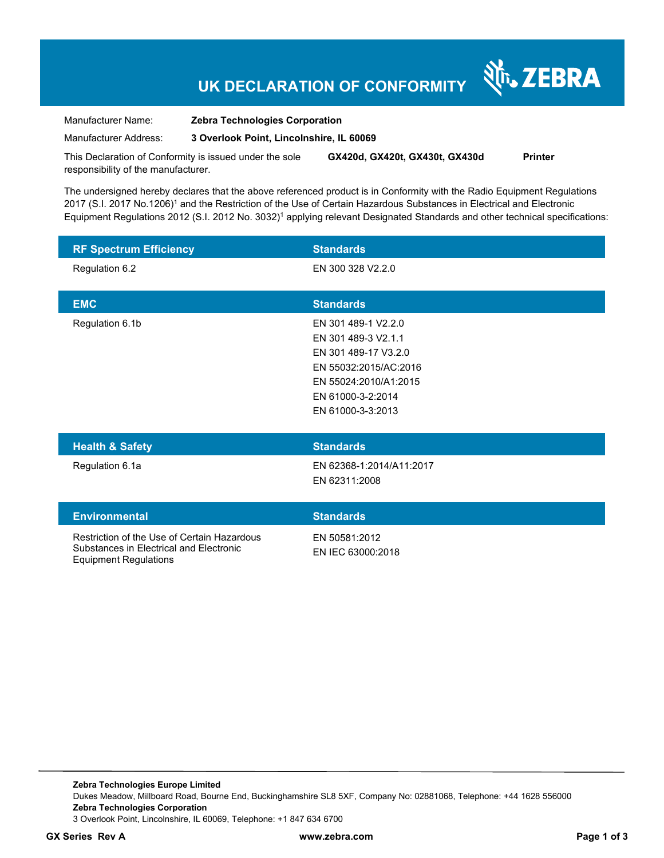# **UK DECLARATION OF CONFORMITY**

र्शे<sub>ं</sub> ZEBRA

Manufacturer Name: **Zebra Technologies Corporation** 

Manufacturer Address: **3 Overlook Point, Lincolnshire, IL 60069** 

This Declaration of Conformity is issued under the sole responsibility of the manufacturer. **GX420d, GX420t, GX430t, GX430d Printer** 

The undersigned hereby declares that the above referenced product is in Conformity with the Radio Equipment Regulations 2017 (S.I. 2017 No.1206)<sup>1</sup> and the Restriction of the Use of Certain Hazardous Substances in Electrical and Electronic Equipment Regulations 2012 (S.I. 2012 No. 3032)<sup>1</sup> applying relevant Designated Standards and other technical specifications:

| <b>RF Spectrum Efficiency</b>                                                                                          | <b>Standards</b>                                                                                                                                               |
|------------------------------------------------------------------------------------------------------------------------|----------------------------------------------------------------------------------------------------------------------------------------------------------------|
| Regulation 6.2                                                                                                         | EN 300 328 V2.2.0                                                                                                                                              |
| <b>EMC</b>                                                                                                             | <b>Standards</b>                                                                                                                                               |
| Regulation 6.1b                                                                                                        | EN 301 489-1 V2.2.0<br>EN 301 489-3 V2.1.1<br>EN 301 489-17 V3.2.0<br>EN 55032:2015/AC:2016<br>EN 55024:2010/A1:2015<br>EN 61000-3-2:2014<br>EN 61000-3-3:2013 |
| <b>Health &amp; Safety</b>                                                                                             | <b>Standards</b>                                                                                                                                               |
| Regulation 6.1a                                                                                                        | EN 62368-1:2014/A11:2017<br>EN 62311:2008                                                                                                                      |
| <b>Environmental</b>                                                                                                   | <b>Standards</b>                                                                                                                                               |
| Restriction of the Use of Certain Hazardous<br>Substances in Electrical and Electronic<br><b>Equipment Regulations</b> | EN 50581:2012<br>EN IEC 63000:2018                                                                                                                             |

**Zebra Technologies Europe Limited**  Dukes Meadow, Millboard Road, Bourne End, Buckinghamshire SL8 5XF, Company No: 02881068, Telephone: +44 1628 556000 **Zebra Technologies Corporation**  3 Overlook Point, Lincolnshire, IL 60069, Telephone: +1 847 634 6700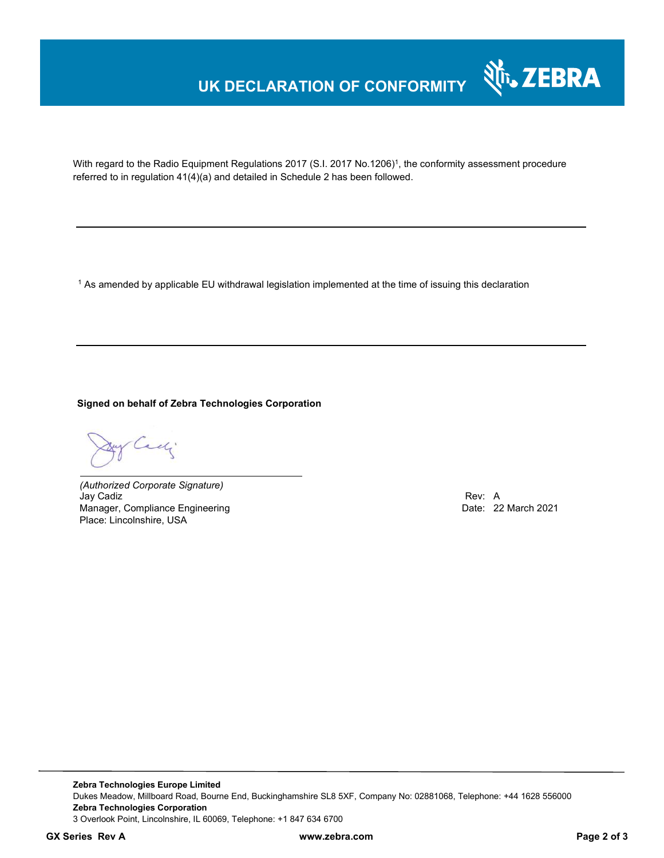## **UK DECLARATION OF CONFORMITY**



With regard to the Radio Equipment Regulations 2017 (S.I. 2017 No.1206)<sup>1</sup>, the conformity assessment procedure referred to in regulation 41(4)(a) and detailed in Schedule 2 has been followed.

 $^{\rm 1}$  As amended by applicable EU withdrawal legislation implemented at the time of issuing this declaration

**Signed on behalf of Zebra Technologies Corporation** 

Cady.

*(Authorized Corporate Signature)* Jay Cadiz Rev: A Manager, Compliance Engineering **Date: 22 March 2021** Date: 22 March 2021 Place: Lincolnshire, USA

**Zebra Technologies Europe Limited**  Dukes Meadow, Millboard Road, Bourne End, Buckinghamshire SL8 5XF, Company No: 02881068, Telephone: +44 1628 556000 **Zebra Technologies Corporation**  3 Overlook Point, Lincolnshire, IL 60069, Telephone: +1 847 634 6700